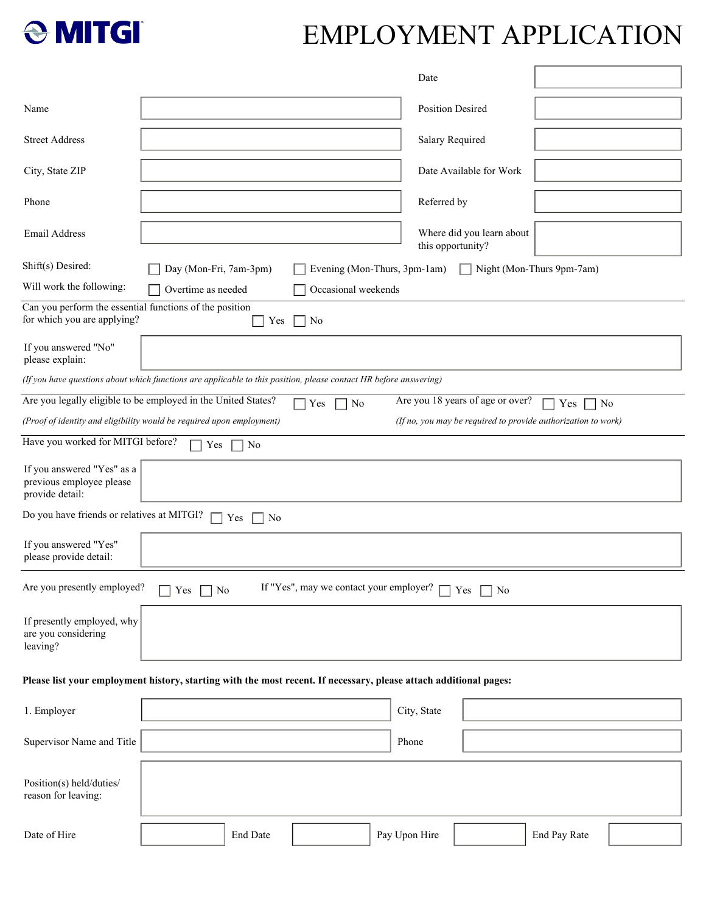

# EMPLOYMENT APPLICATION

|                                                                                        |                                                                                                                   | Date                                                          |
|----------------------------------------------------------------------------------------|-------------------------------------------------------------------------------------------------------------------|---------------------------------------------------------------|
| Name                                                                                   |                                                                                                                   | <b>Position Desired</b>                                       |
|                                                                                        |                                                                                                                   |                                                               |
| <b>Street Address</b>                                                                  |                                                                                                                   | Salary Required                                               |
| City, State ZIP                                                                        |                                                                                                                   | Date Available for Work                                       |
| Phone                                                                                  |                                                                                                                   | Referred by                                                   |
| Email Address                                                                          |                                                                                                                   | Where did you learn about<br>this opportunity?                |
| Shift(s) Desired:                                                                      | Day (Mon-Fri, 7am-3pm)<br>Evening (Mon-Thurs, 3pm-1am)                                                            | Night (Mon-Thurs 9pm-7am)                                     |
| Will work the following:                                                               | Overtime as needed<br>Occasional weekends                                                                         |                                                               |
| Can you perform the essential functions of the position<br>for which you are applying? | No<br>Yes                                                                                                         |                                                               |
| If you answered "No"<br>please explain:                                                |                                                                                                                   |                                                               |
|                                                                                        | (If you have questions about which functions are applicable to this position, please contact HR before answering) |                                                               |
|                                                                                        | Are you legally eligible to be employed in the United States?<br>Yes<br>No                                        | Are you 18 years of age or over?<br>Yes<br>No                 |
|                                                                                        | (Proof of identity and eligibility would be required upon employment)                                             | (If no, you may be required to provide authorization to work) |
| Have you worked for MITGI before?                                                      | No<br>Yes                                                                                                         |                                                               |
| If you answered "Yes" as a<br>previous employee please<br>provide detail:              |                                                                                                                   |                                                               |
| Do you have friends or relatives at MITGI?                                             | Yes<br>$\vert$ No                                                                                                 |                                                               |
| If you answered "Yes"<br>please provide detail:                                        |                                                                                                                   |                                                               |
| Are you presently employed?                                                            | If "Yes", may we contact your employer?<br>$\Box$ No<br>Yes                                                       | Yes<br>$\Box$ No                                              |
| If presently employed, why<br>are you considering<br>leaving?                          |                                                                                                                   |                                                               |
|                                                                                        | Please list your employment history, starting with the most recent. If necessary, please attach additional pages: |                                                               |
| 1. Employer                                                                            |                                                                                                                   | City, State                                                   |
| Supervisor Name and Title                                                              |                                                                                                                   | Phone                                                         |
| Position(s) held/duties/<br>reason for leaving:                                        |                                                                                                                   |                                                               |
| Date of Hire                                                                           | End Date                                                                                                          | Pay Upon Hire<br>End Pay Rate                                 |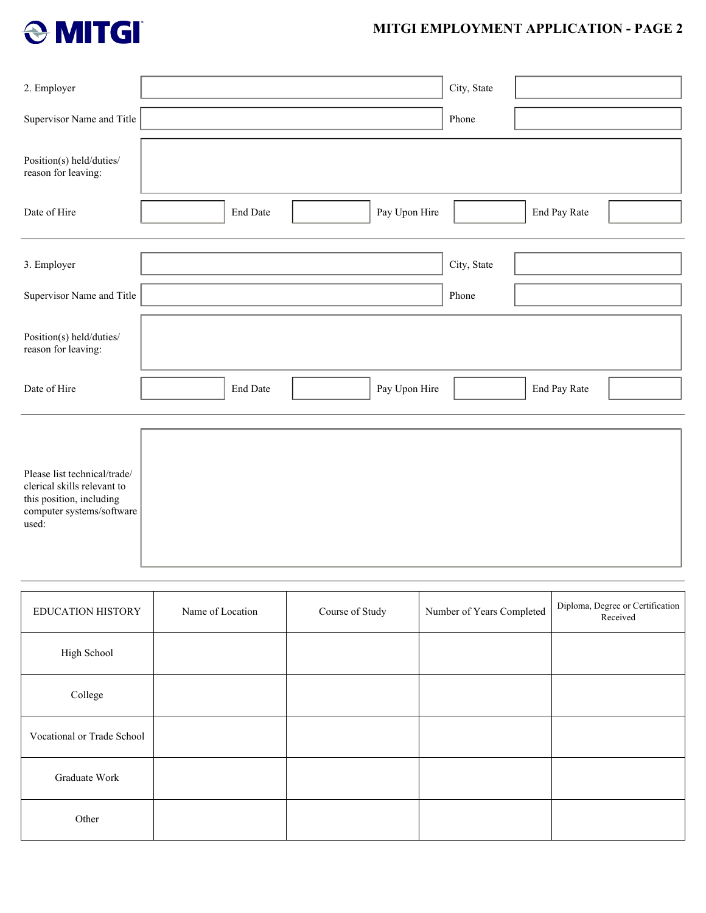

## **MITGI EMPLOYMENT APPLICATION - PAGE 2**

| 2. Employer                                                                                                                   | City, State                                      |
|-------------------------------------------------------------------------------------------------------------------------------|--------------------------------------------------|
| Supervisor Name and Title                                                                                                     | Phone                                            |
| Position(s) held/duties/<br>reason for leaving:                                                                               |                                                  |
| Date of Hire                                                                                                                  | Pay Upon Hire<br><b>End Date</b><br>End Pay Rate |
| 3. Employer                                                                                                                   | City, State                                      |
| Supervisor Name and Title                                                                                                     | Phone                                            |
| Position(s) held/duties/<br>reason for leaving:                                                                               |                                                  |
| Date of Hire                                                                                                                  | End Date<br>Pay Upon Hire<br>End Pay Rate        |
|                                                                                                                               |                                                  |
| Please list technical/trade/<br>clerical skills relevant to<br>this position, including<br>computer systems/software<br>used: |                                                  |

| <b>EDUCATION HISTORY</b>   | Name of Location | Course of Study | Number of Years Completed | Diploma, Degree or Certification<br>Received |
|----------------------------|------------------|-----------------|---------------------------|----------------------------------------------|
| High School                |                  |                 |                           |                                              |
| College                    |                  |                 |                           |                                              |
| Vocational or Trade School |                  |                 |                           |                                              |
| Graduate Work              |                  |                 |                           |                                              |
| Other                      |                  |                 |                           |                                              |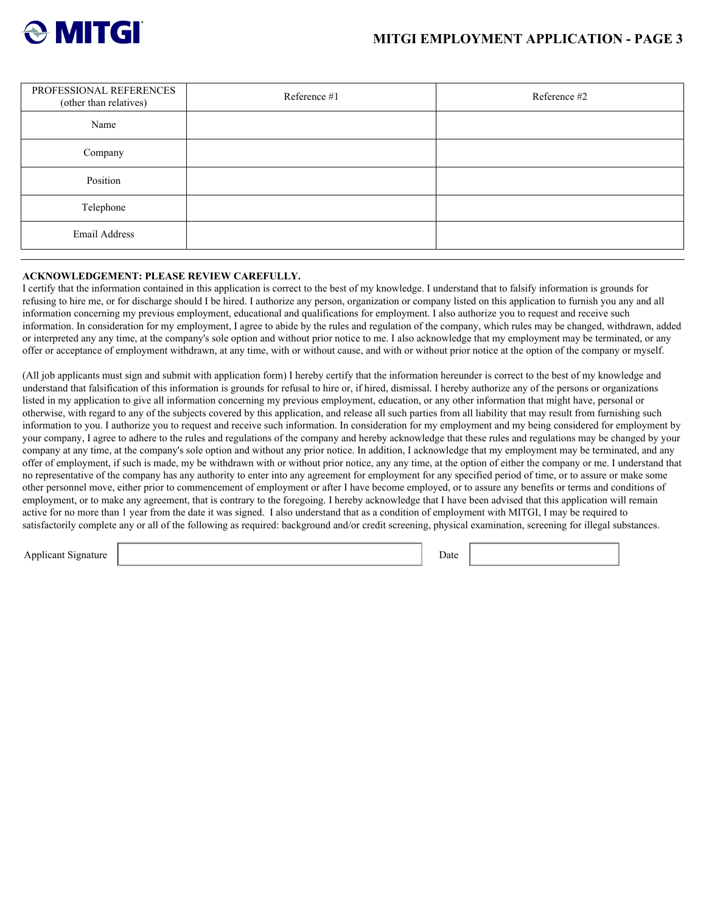

| PROFESSIONAL REFERENCES<br>(other than relatives) | Reference #1 | Reference #2 |
|---------------------------------------------------|--------------|--------------|
| Name                                              |              |              |
| Company                                           |              |              |
| Position                                          |              |              |
| Telephone                                         |              |              |
| Email Address                                     |              |              |

#### **ACKNOWLEDGEMENT: PLEASE REVIEW CAREFULLY.**

I certify that the information contained in this application is correct to the best of my knowledge. I understand that to falsify information is grounds for refusing to hire me, or for discharge should I be hired. I authorize any person, organization or company listed on this application to furnish you any and all information concerning my previous employment, educational and qualifications for employment. I also authorize you to request and receive such information. In consideration for my employment, I agree to abide by the rules and regulation of the company, which rules may be changed, withdrawn, added or interpreted any any time, at the company's sole option and without prior notice to me. I also acknowledge that my employment may be terminated, or any offer or acceptance of employment withdrawn, at any time, with or without cause, and with or without prior notice at the option of the company or myself.

(All job applicants must sign and submit with application form) I hereby certify that the information hereunder is correct to the best of my knowledge and understand that falsification of this information is grounds for refusal to hire or, if hired, dismissal. I hereby authorize any of the persons or organizations listed in my application to give all information concerning my previous employment, education, or any other information that might have, personal or otherwise, with regard to any of the subjects covered by this application, and release all such parties from all liability that may result from furnishing such information to you. I authorize you to request and receive such information. In consideration for my employment and my being considered for employment by your company, I agree to adhere to the rules and regulations of the company and hereby acknowledge that these rules and regulations may be changed by your company at any time, at the company's sole option and without any prior notice. In addition, I acknowledge that my employment may be terminated, and any offer of employment, if such is made, my be withdrawn with or without prior notice, any any time, at the option of either the company or me. I understand that no representative of the company has any authority to enter into any agreement for employment for any specified period of time, or to assure or make some other personnel move, either prior to commencement of employment or after I have become employed, or to assure any benefits or terms and conditions of employment, or to make any agreement, that is contrary to the foregoing. I hereby acknowledge that I have been advised that this application will remain active for no more than 1 year from the date it was signed. I also understand that as a condition of employment with MITGI, I may be required to satisfactorily complete any or all of the following as required: background and/or credit screening, physical examination, screening for illegal substances.

Applicant Signature Date **Date** Date **Date** Date **Date** Date **Date** Date **Date** Date **Date** Date **Date Date Date Date Date Date Date Date Date D**